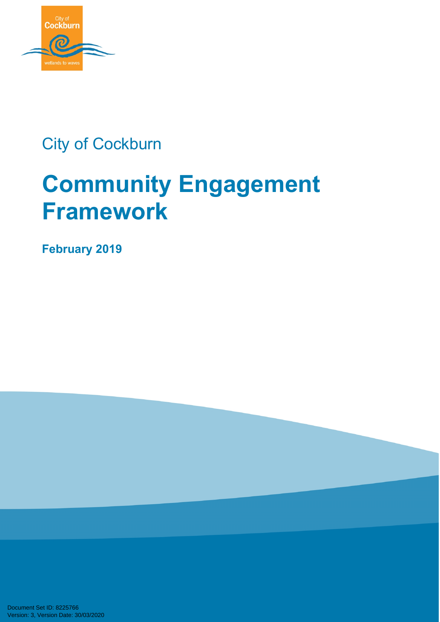

## City of Cockburn

# **Community Engagement Framework**

**February 2019** 

Document Set ID: 8225766<br>Version: 3, Version Date: 30/03/2020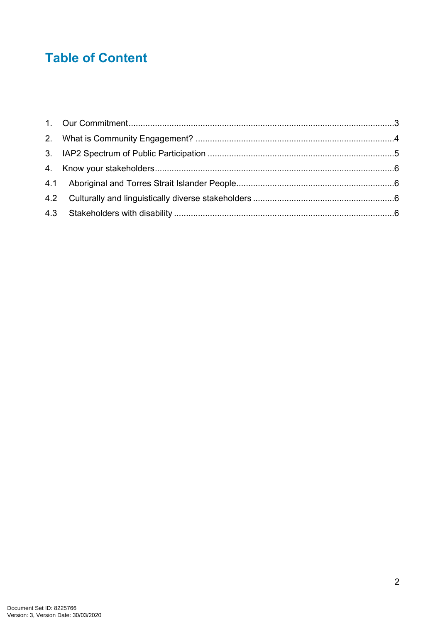### **Table of Content**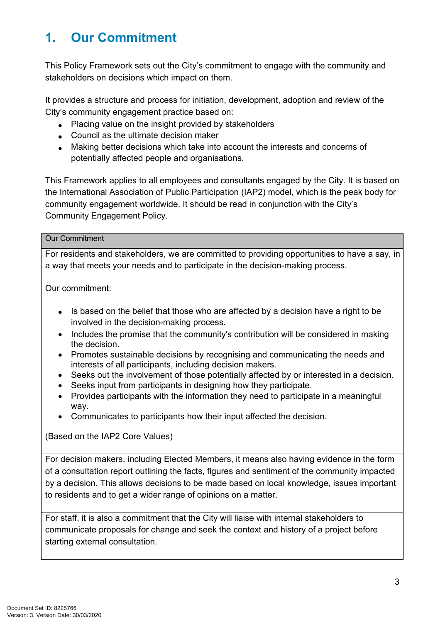### <span id="page-2-0"></span>**1. Our Commitment**

This Policy Framework sets out the City's commitment to engage with the community and stakeholders on decisions which impact on them.

It provides a structure and process for initiation, development, adoption and review of the City's community engagement practice based on:

- Placing value on the insight provided by stakeholders
- Council as the ultimate decision maker
- Making better decisions which take into account the interests and concerns of potentially affected people and organisations.

This Framework applies to all employees and consultants engaged by the City. It is based on the International Association of Public Participation (IAP2) model, which is the peak body for community engagement worldwide. It should be read in conjunction with the City's Community Engagement Policy.

#### Our Commitment

For residents and stakeholders, we are committed to providing opportunities to have a say, in a way that meets your needs and to participate in the decision-making process.

Our commitment:

- Is based on the belief that those who are affected by a decision have a right to be involved in the decision-making process.
- Includes the promise that the community's contribution will be considered in making the decision.
- Promotes sustainable decisions by recognising and communicating the needs and interests of all participants, including decision makers.
- Seeks out the involvement of those potentially affected by or interested in a decision.
- Seeks input from participants in designing how they participate.
- Provides participants with the information they need to participate in a meaningful way.
- Communicates to participants how their input affected the decision.

(Based on the IAP2 Core Values)

For decision makers, including Elected Members, it means also having evidence in the form of a consultation report outlining the facts, figures and sentiment of the community impacted by a decision. This allows decisions to be made based on local knowledge, issues important to residents and to get a wider range of opinions on a matter.

For staff, it is also a commitment that the City will liaise with internal stakeholders to communicate proposals for change and seek the context and history of a project before starting external consultation.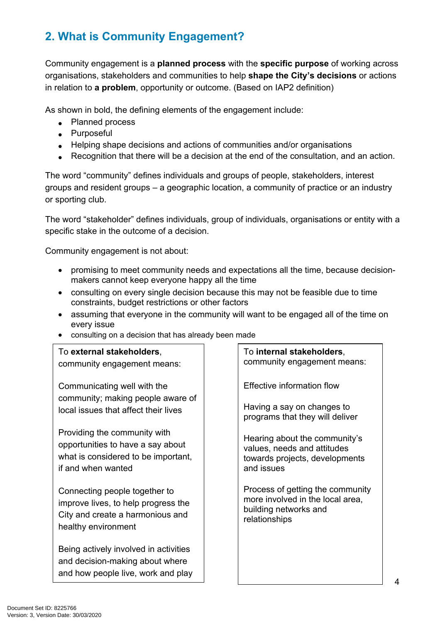### <span id="page-3-0"></span>**2. What is Community Engagement?**

Community engagement is a **planned process** with the **specific purpose** of working across organisations, stakeholders and communities to help **shape the City's decisions** or actions in relation to **a problem**, opportunity or outcome. (Based on IAP2 definition)

As shown in bold, the defining elements of the engagement include:

- Planned process
- Purposeful
- Helping shape decisions and actions of communities and/or organisations
- Recognition that there will be a decision at the end of the consultation, and an action.

The word "community" defines individuals and groups of people, stakeholders, interest groups and resident groups – a geographic location, a community of practice or an industry or sporting club.

The word "stakeholder" defines individuals, group of individuals, organisations or entity with a specific stake in the outcome of a decision.

Community engagement is not about:

- promising to meet community needs and expectations all the time, because decisionmakers cannot keep everyone happy all the time
- consulting on every single decision because this may not be feasible due to time constraints, budget restrictions or other factors
- assuming that everyone in the community will want to be engaged all of the time on every issue
- consulting on a decision that has already been made

| To external stakeholders,<br>community engagement means:                                                                        | To internal stakeholders,<br>community engagement means:                                                       |
|---------------------------------------------------------------------------------------------------------------------------------|----------------------------------------------------------------------------------------------------------------|
| Communicating well with the                                                                                                     | Effective information flow                                                                                     |
| community; making people aware of<br>local issues that affect their lives                                                       | Having a say on changes to<br>programs that they will deliver                                                  |
| Providing the community with<br>opportunities to have a say about<br>what is considered to be important,<br>if and when wanted  | Hearing about the community's<br>values, needs and attitudes<br>towards projects, developments<br>and issues   |
| Connecting people together to<br>improve lives, to help progress the<br>City and create a harmonious and<br>healthy environment | Process of getting the community<br>more involved in the local area,<br>building networks and<br>relationships |
| Being actively involved in activities<br>and decision-making about where<br>and how people live, work and play                  |                                                                                                                |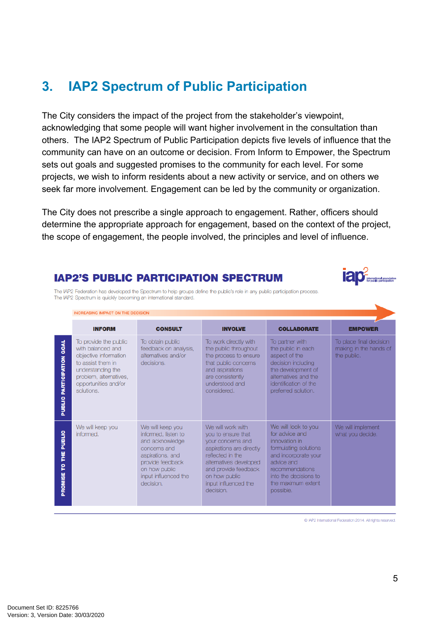### **3. IAP2 Spectrum of Public Participation**

The City considers the impact of the project from the stakeholder's viewpoint, acknowledging that some people will want higher involvement in the consultation than others. The IAP2 Spectrum of Public Participation depicts five levels of influence that the community can have on an outcome or decision. From Inform to Empower, the Spectrum sets out goals and suggested promises to the community for each level. For some projects, we wish to inform residents about a new activity or service, and on others we seek far more involvement. Engagement can be led by the community or organization.

The City does not prescribe a single approach to engagement. Rather, officers should determine the appropriate approach for engagement, based on the context of the project, the scope of engagement, the people involved, the principles and level of influence.

#### **IAP2'S PUBLIC PARTICIPATION SPECTRUM**



The IAP2 Federation has developed the Spectrum to help groups define the public's role in any public participation process. The IAP2 Spectrum is quickly becoming an international standard.

<span id="page-4-0"></span>

|                                               | <b>INCREASING IMPACT ON THE DECISION</b>                                                                                                                                      |                                                                                                                                                                          |                                                                                                                                                                                                                      |                                                                                                                                                                                                      |                                                                  |
|-----------------------------------------------|-------------------------------------------------------------------------------------------------------------------------------------------------------------------------------|--------------------------------------------------------------------------------------------------------------------------------------------------------------------------|----------------------------------------------------------------------------------------------------------------------------------------------------------------------------------------------------------------------|------------------------------------------------------------------------------------------------------------------------------------------------------------------------------------------------------|------------------------------------------------------------------|
|                                               | <b>INFORM</b>                                                                                                                                                                 | <b>CONSULT</b>                                                                                                                                                           | <b>INVOLVE</b>                                                                                                                                                                                                       | <b>COLLABORATE</b>                                                                                                                                                                                   | <b>EMPOWER</b>                                                   |
| <b>GOAL</b><br><b>PARTICIPATION</b><br>PUBLIC | To provide the public<br>with balanced and<br>objective information<br>to assist them in<br>understanding the<br>problem, alternatives,<br>opportunities and/or<br>solutions. | To obtain public<br>feedback on analysis,<br>alternatives and/or<br>decisions.                                                                                           | To work directly with<br>the public throughout<br>the process to ensure<br>that public concerns<br>and aspirations<br>are consistently<br>understood and<br>considered.                                              | To partner with<br>the public in each<br>aspect of the<br>decision including<br>the development of<br>alternatives and the<br>identification of the<br>preferred solution.                           | To place final decision<br>making in the hands of<br>the public. |
| <b>PUBLIC</b><br>¥<br>P<br>PROMISE            | We will keep you<br>informed.                                                                                                                                                 | We will keep you<br>informed, listen to<br>and acknowledge<br>concerns and<br>aspirations, and<br>provide feedback<br>on how public<br>input influenced the<br>decision. | We will work with<br>you to ensure that<br>your concerns and<br>aspirations are directly<br>reflected in the<br>alternatives developed<br>and provide feedback<br>on how public<br>input influenced the<br>decision. | We will look to you<br>for advice and<br>innovation in<br>formulating solutions<br>and incorporate your<br>advice and<br>recommendations<br>into the decisions to<br>the maximum extent<br>possible. | We will implement<br>what you decide.                            |

C IAP2 International Federation 2014. All rights reserved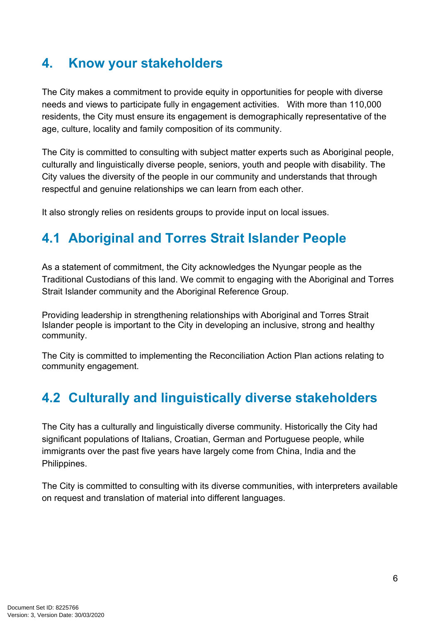### **4. Know your stakeholders**

The City makes a commitment to provide equity in opportunities for people with diverse needs and views to participate fully in engagement activities. With more than 110,000 residents, the City must ensure its engagement is demographically representative of the age, culture, locality and family composition of its community.

The City is committed to consulting with subject matter experts such as Aboriginal people, culturally and linguistically diverse people, seniors, youth and people with disability. The City values the diversity of the people in our community and understands that through respectful and genuine relationships we can learn from each other.

It also strongly relies on residents groups to provide input on local issues.

### **4.1 Aboriginal and Torres Strait Islander People**

<span id="page-5-0"></span>As a statement of commitment, the City acknowledges the Nyungar people as the Traditional Custodians of this land. We commit to engaging with the Aboriginal and Torres Strait Islander community and the Aboriginal Reference Group.

Providing leadership in strengthening relationships with Aboriginal and Torres Strait Islander people is important to the City in developing an inclusive, strong and healthy community.

The City is committed to implementing the Reconciliation Action Plan actions relating to community engagement.

### <span id="page-5-1"></span>**4.2 Culturally and linguistically diverse stakeholders**

The City has a culturally and linguistically diverse community. Historically the City had significant populations of Italians, Croatian, German and Portuguese people, while immigrants over the past five years have largely come from China, India and the Philippines.

The City is committed to consulting with its diverse communities, with interpreters available on request and translation of material into different languages.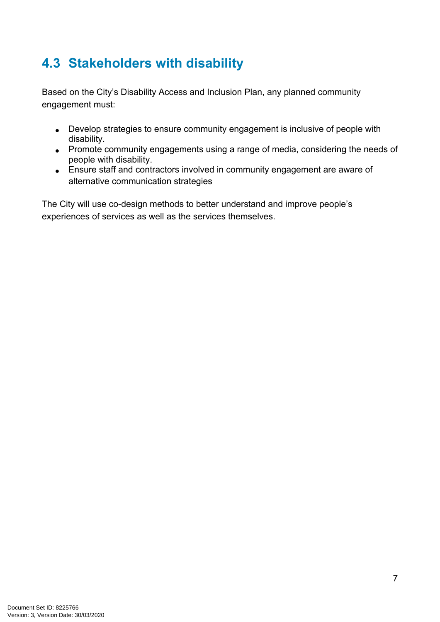### **4.3 Stakeholders with disability**

<span id="page-6-0"></span>Based on the City's Disability Access and Inclusion Plan, any planned community engagement must:

- Develop strategies to ensure community engagement is inclusive of people with disability.
- Promote community engagements using a range of media, considering the needs of people with disability.
- Ensure staff and contractors involved in community engagement are aware of alternative communication strategies

The City will use co-design methods to better understand and improve people's experiences of services as well as the services themselves.